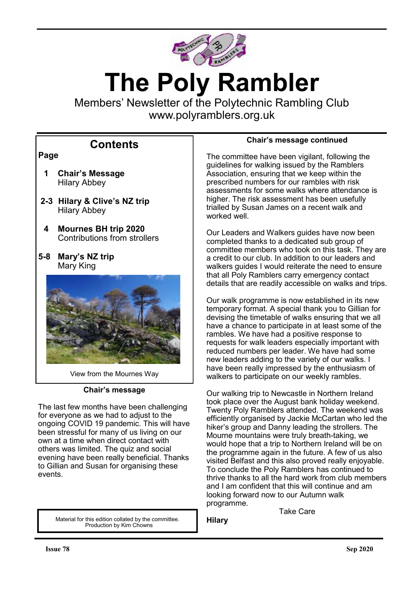

# **The Poly Rambler**

Members' Newsletter of the Polytechnic Rambling Club www.polyramblers.org.uk

# **Contents**

# **Page**

- **1 Chair's Message** Hilary Abbey
- **2-3 Hilary & Clive's NZ trip** Hilary Abbey
- **4 Mournes BH trip 2020** Contributions from strollers
- **5-8 Mary's NZ trip** Mary King



View from the Mournes Way

## **Chair's message**

The last few months have been challenging for everyone as we had to adjust to the ongoing COVID 19 pandemic. This will have been stressful for many of us living on our own at a time when direct contact with others was limited. The quiz and social evening have been really beneficial. Thanks to Gillian and Susan for organising these events.

> Material for this edition collated by the committee. Production by Kim Chowns

# **Chair's message continued**

The committee have been vigilant, following the guidelines for walking issued by the Ramblers Association, ensuring that we keep within the prescribed numbers for our rambles with risk assessments for some walks where attendance is higher. The risk assessment has been usefully trialled by Susan James on a recent walk and worked well.

Our Leaders and Walkers guides have now been completed thanks to a dedicated sub group of committee members who took on this task. They are a credit to our club. In addition to our leaders and walkers guides I would reiterate the need to ensure that all Poly Ramblers carry emergency contact details that are readily accessible on walks and trips.

Our walk programme is now established in its new temporary format. A special thank you to Gillian for devising the timetable of walks ensuring that we all have a chance to participate in at least some of the rambles. We have had a positive response to requests for walk leaders especially important with reduced numbers per leader. We have had some new leaders adding to the variety of our walks. I have been really impressed by the enthusiasm of walkers to participate on our weekly rambles.

Our walking trip to Newcastle in Northern Ireland took place over the August bank holiday weekend. Twenty Poly Ramblers attended. The weekend was efficiently organised by Jackie McCartan who led the hiker's group and Danny leading the strollers. The Mourne mountains were truly breath-taking, we would hope that a trip to Northern Ireland will be on the programme again in the future. A few of us also visited Belfast and this also proved really enjoyable. To conclude the Poly Ramblers has continued to thrive thanks to all the hard work from club members and I am confident that this will continue and am looking forward now to our Autumn walk programme.

Take Care

**Hilary**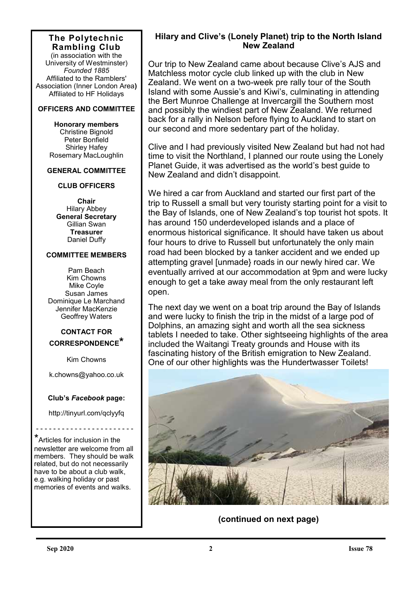# **The Polytechnic Rambling Club**

(in association with the University of Westminster) *Founded 1885* Affiliated to the Ramblers' Association (Inner London Area**)** Affiliated to HF Holidays

#### **OFFICERS AND COMMITTEE**

**Honorary members** Christine Bignold Peter Bonfield Shirley Hafey Rosemary MacLoughlin

#### **GENERAL COMMITTEE**

#### **CLUB OFFICERS**

**Chair** Hilary Abbey **General Secretary** Gillian Swan **Treasurer** Daniel Duffy

#### **COMMITTEE MEMBERS**

Pam Beach Kim Chowns Mike Coyle Susan James Dominique Le Marchand Jennifer MacKenzie Geoffrey Waters

# **CONTACT FOR CORRESPONDENCE\***

Kim Chowns

k.chowns@yahoo.co.uk

#### **Club's** *Facebook* **page:**

http://tinyurl.com/qclyyfq

- - - - - - - - - - - - - - - - - - - - - - -

\*Articles for inclusion in the newsletter are welcome from all members. They should be walk related, but do not necessarily have to be about a club walk, e.g. walking holiday or past memories of events and walks.

# **Hilary and Clive's (Lonely Planet) trip to the North Island New Zealand**

Our trip to New Zealand came about because Clive's AJS and Matchless motor cycle club linked up with the club in New Zealand. We went on a two-week pre rally tour of the South Island with some Aussie's and Kiwi's, culminating in attending the Bert Munroe Challenge at Invercargill the Southern most and possibly the windiest part of New Zealand. We returned back for a rally in Nelson before flying to Auckland to start on our second and more sedentary part of the holiday.

Clive and I had previously visited New Zealand but had not had time to visit the Northland, I planned our route using the Lonely Planet Guide, it was advertised as the world's best guide to New Zealand and didn't disappoint.

We hired a car from Auckland and started our first part of the trip to Russell a small but very touristy starting point for a visit to the Bay of Islands, one of New Zealand's top tourist hot spots. It has around 150 underdeveloped islands and a place of enormous historical significance. It should have taken us about four hours to drive to Russell but unfortunately the only main road had been blocked by a tanker accident and we ended up attempting gravel [unmade} roads in our newly hired car. We eventually arrived at our accommodation at 9pm and were lucky enough to get a take away meal from the only restaurant left open.

The next day we went on a boat trip around the Bay of Islands and were lucky to finish the trip in the midst of a large pod of Dolphins, an amazing sight and worth all the sea sickness tablets I needed to take. Other sightseeing highlights of the area included the Waitangi Treaty grounds and House with its fascinating history of the British emigration to New Zealand. One of our other highlights was the Hundertwasser Toilets!

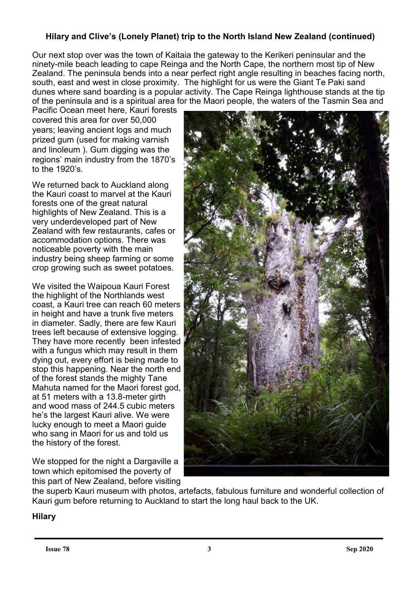# **Hilary and Clive's (Lonely Planet) trip to the North Island New Zealand (continued)**

Our next stop over was the town of Kaitaia the gateway to the Kerikeri peninsular and the ninety-mile beach leading to cape Reinga and the North Cape, the northern most tip of New Zealand. The peninsula bends into a near perfect right angle resulting in beaches facing north, south, east and west in close proximity. The highlight for us were the Giant Te Paki sand dunes where sand boarding is a popular activity. The Cape Reinga lighthouse stands at the tip of the peninsula and is a spiritual area for the Maori people, the waters of the Tasmin Sea and

Pacific Ocean meet here, Kauri forests covered this area for over 50,000 years; leaving ancient logs and much prized gum (used for making varnish and linoleum ). Gum digging was the regions' main industry from the 1870's to the 1920's.

We returned back to Auckland along the Kauri coast to marvel at the Kauri forests one of the great natural highlights of New Zealand. This is a very underdeveloped part of New Zealand with few restaurants, cafes or accommodation options. There was noticeable poverty with the main industry being sheep farming or some crop growing such as sweet potatoes.

We visited the Waipoua Kauri Forest the highlight of the Northlands west coast, a Kauri tree can reach 60 meters in height and have a trunk five meters in diameter. Sadly, there are few Kauri trees left because of extensive logging. They have more recently been infested with a fungus which may result in them dying out, every effort is being made to stop this happening. Near the north end of the forest stands the mighty Tane Mahuta named for the Maori forest god, at 51 meters with a 13.8-meter girth and wood mass of 244.5 cubic meters he's the largest Kauri alive. We were lucky enough to meet a Maori guide who sang in Maori for us and told us the history of the forest.

We stopped for the night a Dargaville a town which epitomised the poverty of this part of New Zealand, before visiting



the superb Kauri museum with photos, artefacts, fabulous furniture and wonderful collection of Kauri gum before returning to Auckland to start the long haul back to the UK.

# **Hilary**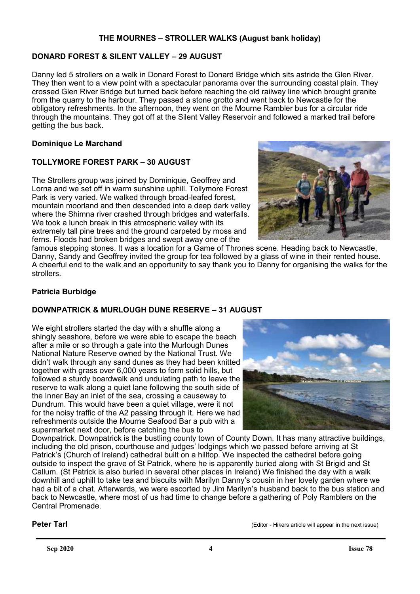# **THE MOURNES – STROLLER WALKS (August bank holiday)**

# **DONARD FOREST & SILENT VALLEY – 29 AUGUST**

Danny led 5 strollers on a walk in Donard Forest to Donard Bridge which sits astride the Glen River. They then went to a view point with a spectacular panorama over the surrounding coastal plain. They crossed Glen River Bridge but turned back before reaching the old railway line which brought granite from the quarry to the harbour. They passed a stone grotto and went back to Newcastle for the obligatory refreshments. In the afternoon, they went on the Mourne Rambler bus for a circular ride through the mountains. They got off at the Silent Valley Reservoir and followed a marked trail before getting the bus back.

#### **Dominique Le Marchand**

# **TOLLYMORE FOREST PARK – 30 AUGUST**

The Strollers group was joined by Dominique, Geoffrey and Lorna and we set off in warm sunshine uphill. Tollymore Forest Park is very varied. We walked through broad-leafed forest, mountain moorland and then descended into a deep dark valley where the Shimna river crashed through bridges and waterfalls. We took a lunch break in this atmospheric valley with its extremely tall pine trees and the ground carpeted by moss and ferns. Floods had broken bridges and swept away one of the



famous stepping stones. It was a location for a Game of Thrones scene. Heading back to Newcastle, Danny, Sandy and Geoffrey invited the group for tea followed by a glass of wine in their rented house. A cheerful end to the walk and an opportunity to say thank you to Danny for organising the walks for the strollers.

## **Patricia Burbidge**

## **DOWNPATRICK & MURLOUGH DUNE RESERVE – 31 AUGUST**

We eight strollers started the day with a shuffle along a shingly seashore, before we were able to escape the beach after a mile or so through a gate into the Murlough Dunes National Nature Reserve owned by the National Trust. We didn't walk through any sand dunes as they had been knitted together with grass over 6,000 years to form solid hills, but followed a sturdy boardwalk and undulating path to leave the reserve to walk along a quiet lane following the south side of the Inner Bay an inlet of the sea, crossing a causeway to Dundrum. This would have been a quiet village, were it not for the noisy traffic of the A2 passing through it. Here we had refreshments outside the Mourne Seafood Bar a pub with a supermarket next door, before catching the bus to



Downpatrick. Downpatrick is the bustling county town of County Down. It has many attractive buildings, including the old prison, courthouse and judges' lodgings which we passed before arriving at St Patrick's (Church of Ireland) cathedral built on a hilltop. We inspected the cathedral before going outside to inspect the grave of St Patrick, where he is apparently buried along with St Brigid and St Callum. (St Patrick is also buried in several other places in Ireland) We finished the day with a walk downhill and uphill to take tea and biscuits with Marilyn Danny's cousin in her lovely garden where we had a bit of a chat. Afterwards, we were escorted by Jim Marilyn's husband back to the bus station and back to Newcastle, where most of us had time to change before a gathering of Poly Ramblers on the Central Promenade.

**Peter Tarl Constant Constant Constant Constant Constant Constant Constant Constant Constant Constant Constant Constant Constant Constant Constant Constant Constant Constant Constant Constant Constant Constant Constant C**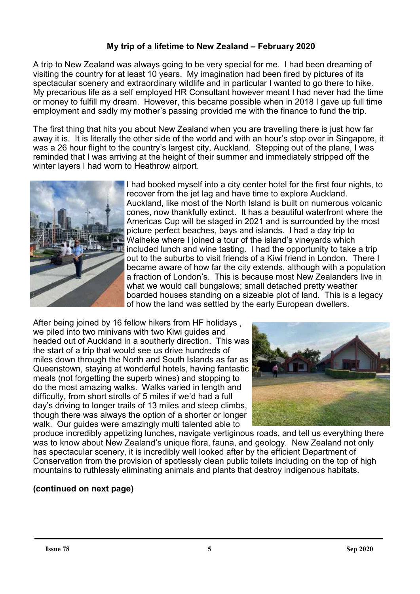# **My trip of a lifetime to New Zealand – February 2020**

A trip to New Zealand was always going to be very special for me. I had been dreaming of visiting the country for at least 10 years. My imagination had been fired by pictures of its spectacular scenery and extraordinary wildlife and in particular I wanted to go there to hike. My precarious life as a self employed HR Consultant however meant I had never had the time or money to fulfill my dream. However, this became possible when in 2018 I gave up full time employment and sadly my mother's passing provided me with the finance to fund the trip.

The first thing that hits you about New Zealand when you are travelling there is just how far away it is. It is literally the other side of the world and with an hour's stop over in Singapore, it was a 26 hour flight to the country's largest city, Auckland. Stepping out of the plane, I was reminded that I was arriving at the height of their summer and immediately stripped off the winter layers I had worn to Heathrow airport.



I had booked myself into a city center hotel for the first four nights, to recover from the jet lag and have time to explore Auckland. Auckland, like most of the North Island is built on numerous volcanic cones, now thankfully extinct. It has a beautiful waterfront where the Americas Cup will be staged in 2021 and is surrounded by the most picture perfect beaches, bays and islands. I had a day trip to Waiheke where I joined a tour of the island's vineyards which included lunch and wine tasting. I had the opportunity to take a trip out to the suburbs to visit friends of a Kiwi friend in London. There I became aware of how far the city extends, although with a population a fraction of London's. This is because most New Zealanders live in what we would call bungalows; small detached pretty weather boarded houses standing on a sizeable plot of land. This is a legacy of how the land was settled by the early European dwellers.

After being joined by 16 fellow hikers from HF holidays , we piled into two minivans with two Kiwi guides and headed out of Auckland in a southerly direction. This was the start of a trip that would see us drive hundreds of miles down through the North and South Islands as far as Queenstown, staying at wonderful hotels, having fantastic meals (not forgetting the superb wines) and stopping to do the most amazing walks. Walks varied in length and difficulty, from short strolls of 5 miles if we'd had a full day's driving to longer trails of 13 miles and steep climbs, though there was always the option of a shorter or longer walk. Our guides were amazingly multi talented able to



produce incredibly appetizing lunches, navigate vertiginous roads, and tell us everything there was to know about New Zealand's unique flora, fauna, and geology. New Zealand not only has spectacular scenery, it is incredibly well looked after by the efficient Department of Conservation from the provision of spotlessly clean public toilets including on the top of high mountains to ruthlessly eliminating animals and plants that destroy indigenous habitats.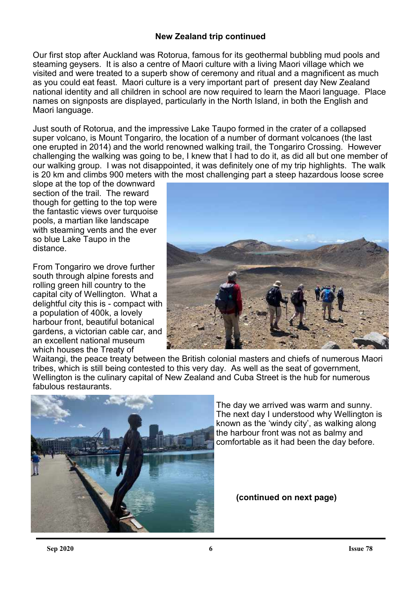# **New Zealand trip continued**

Our first stop after Auckland was Rotorua, famous for its geothermal bubbling mud pools and steaming geysers. It is also a centre of Maori culture with a living Maori village which we visited and were treated to a superb show of ceremony and ritual and a magnificent as much as you could eat feast. Maori culture is a very important part of present day New Zealand national identity and all children in school are now required to learn the Maori language. Place names on signposts are displayed, particularly in the North Island, in both the English and Maori language.

Just south of Rotorua, and the impressive Lake Taupo formed in the crater of a collapsed super volcano, is Mount Tongariro, the location of a number of dormant volcanoes (the last one erupted in 2014) and the world renowned walking trail, the Tongariro Crossing. However challenging the walking was going to be, I knew that I had to do it, as did all but one member of our walking group. I was not disappointed, it was definitely one of my trip highlights. The walk is 20 km and climbs 900 meters with the most challenging part a steep hazardous loose scree

slope at the top of the downward section of the trail. The reward though for getting to the top were the fantastic views over turquoise pools, a martian like landscape with steaming vents and the ever so blue Lake Taupo in the distance.

From Tongariro we drove further south through alpine forests and rolling green hill country to the capital city of Wellington. What a delightful city this is - compact with a population of 400k, a lovely harbour front, beautiful botanical gardens, a victorian cable car, and an excellent national museum which houses the Treaty of



Waitangi, the peace treaty between the British colonial masters and chiefs of numerous Maori tribes, which is still being contested to this very day. As well as the seat of government, Wellington is the culinary capital of New Zealand and Cuba Street is the hub for numerous fabulous restaurants.



The day we arrived was warm and sunny. The next day I understood why Wellington is known as the 'windy city', as walking along the harbour front was not as balmy and comfortable as it had been the day before.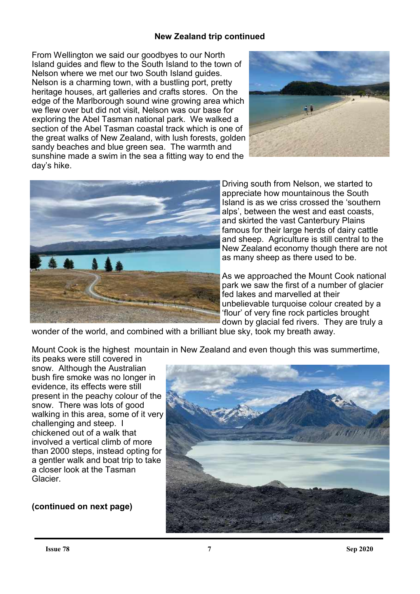# **New Zealand trip continued**

From Wellington we said our goodbyes to our North Island guides and flew to the South Island to the town of Nelson where we met our two South Island guides. Nelson is a charming town, with a bustling port, pretty heritage houses, art galleries and crafts stores. On the edge of the Marlborough sound wine growing area which we flew over but did not visit, Nelson was our base for exploring the Abel Tasman national park. We walked a section of the Abel Tasman coastal track which is one of the great walks of New Zealand, with lush forests, golden sandy beaches and blue green sea. The warmth and sunshine made a swim in the sea a fitting way to end the day's hike.





Driving south from Nelson, we started to appreciate how mountainous the South Island is as we criss crossed the 'southern alps', between the west and east coasts, and skirted the vast Canterbury Plains famous for their large herds of dairy cattle and sheep. Agriculture is still central to the New Zealand economy though there are not as many sheep as there used to be.

As we approached the Mount Cook national park we saw the first of a number of glacier fed lakes and marvelled at their unbelievable turquoise colour created by a 'flour' of very fine rock particles brought down by glacial fed rivers. They are truly a

wonder of the world, and combined with a brilliant blue sky, took my breath away.

Mount Cook is the highest mountain in New Zealand and even though this was summertime,

its peaks were still covered in snow. Although the Australian bush fire smoke was no longer in evidence, its effects were still present in the peachy colour of the snow. There was lots of good walking in this area, some of it very challenging and steep. I chickened out of a walk that involved a vertical climb of more than 2000 steps, instead opting for a gentler walk and boat trip to take a closer look at the Tasman Glacier.